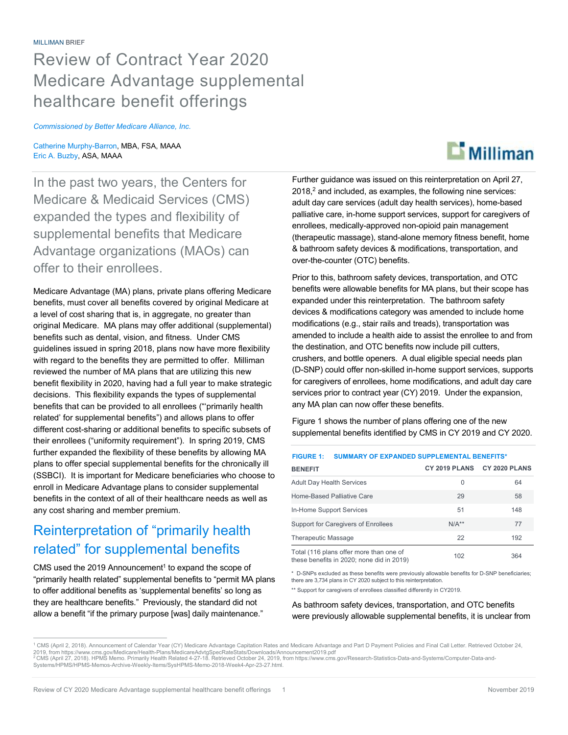# Review of Contract Year 2020 Medicare Advantage supplemental healthcare benefit offerings

*Commissioned by Better Medicare Alliance, Inc.* 

Catherine Murphy-Barron, MBA, FSA, MAAA Eric A. Buzby, ASA, MAAA

In the past two years, the Centers for Medicare & Medicaid Services (CMS) expanded the types and flexibility of supplemental benefits that Medicare Advantage organizations (MAOs) can offer to their enrollees.

Medicare Advantage (MA) plans, private plans offering Medicare benefits, must cover all benefits covered by original Medicare at a level of cost sharing that is, in aggregate, no greater than original Medicare. MA plans may offer additional (supplemental) benefits such as dental, vision, and fitness. Under CMS guidelines issued in spring 2018, plans now have more flexibility with regard to the benefits they are permitted to offer. Milliman reviewed the number of MA plans that are utilizing this new benefit flexibility in 2020, having had a full year to make strategic decisions. This flexibility expands the types of supplemental benefits that can be provided to all enrollees ("'primarily health related' for supplemental benefits") and allows plans to offer different cost-sharing or additional benefits to specific subsets of their enrollees ("uniformity requirement"). In spring 2019, CMS further expanded the flexibility of these benefits by allowing MA plans to offer special supplemental benefits for the chronically ill (SSBCI). It is important for Medicare beneficiaries who choose to enroll in Medicare Advantage plans to consider supplemental benefits in the context of all of their healthcare needs as well as any cost sharing and member premium.

## Reinterpretation of "primarily health related" for supplemental benefits

CMS used the 2019 Announcement<sup>1</sup> to expand the scope of "primarily health related" supplemental benefits to "permit MA plans to offer additional benefits as 'supplemental benefits' so long as they are healthcare benefits." Previously, the standard did not allow a benefit "if the primary purpose [was] daily maintenance."



Prior to this, bathroom safety devices, transportation, and OTC benefits were allowable benefits for MA plans, but their scope has expanded under this reinterpretation. The bathroom safety devices & modifications category was amended to include home modifications (e.g., stair rails and treads), transportation was amended to include a health aide to assist the enrollee to and from the destination, and OTC benefits now include pill cutters, crushers, and bottle openers. A dual eligible special needs plan (D-SNP) could offer non-skilled in-home support services, supports for caregivers of enrollees, home modifications, and adult day care services prior to contract year (CY) 2019. Under the expansion, any MA plan can now offer these benefits.

Figure 1 shows the number of plans offering one of the new supplemental benefits identified by CMS in CY 2019 and CY 2020.

| <b>SUMMARY OF EXPANDED SUPPLEMENTAL BENEFITS*</b><br><b>FIGURE 1:</b>                |               |               |
|--------------------------------------------------------------------------------------|---------------|---------------|
| <b>BENEFIT</b>                                                                       | CY 2019 PLANS | CY 2020 PLANS |
| <b>Adult Day Health Services</b>                                                     | $\Omega$      | 64            |
| Home-Based Palliative Care                                                           | 29            | 58            |
| In-Home Support Services                                                             | 51            | 148           |
| Support for Caregivers of Enrollees                                                  | $N/A**$       | 77            |
| <b>Therapeutic Massage</b>                                                           | 22            | 192           |
| Total (116 plans offer more than one of<br>these benefits in 2020; none did in 2019) | 102           | 364           |

\* D-SNPs excluded as these benefits were previously allowable benefits for D-SNP beneficiaries; there are 3,734 plans in CY 2020 subject to this reinterpretation.

\*\* Support for caregivers of enrollees classified differently in CY2019.

#### As bathroom safety devices, transportation, and OTC benefits were previously allowable supplemental benefits, it is unclear from



<sup>&</sup>lt;sup>1</sup> CMS (April 2, 2018). Announcement of Calendar Year (CY) Medicare Advantage Capitation Rates and Medicare Advantage and Part D Payment Policies and Final Call Letter. Retrieved October 24,<br>2019, from https://www.cms.gov